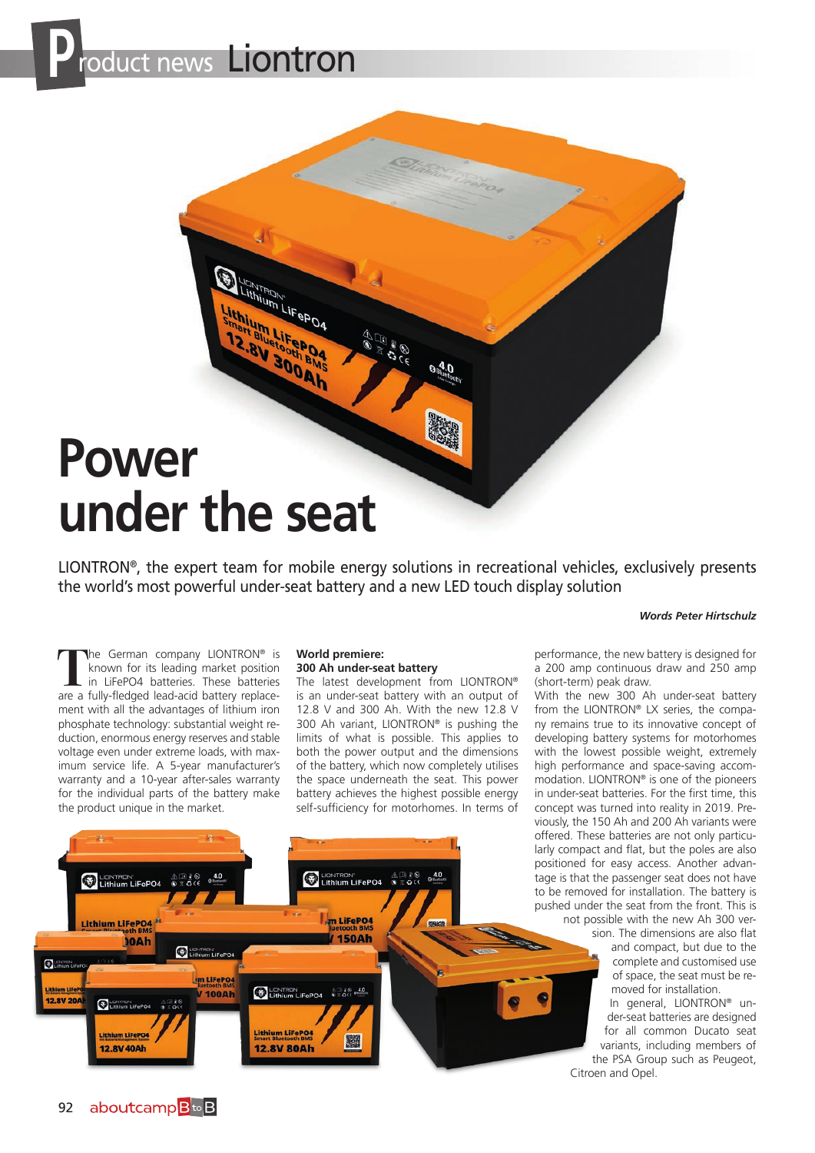

LIONTRON®, the expert team for mobile energy solutions in recreational vehicles, exclusively presents the world's most powerful under-seat battery and a new LED touch display solution

#### *Words Peter Hirtschulz*

The German company LIONTRON® is<br>
in LiFePO4 batteries. These batteries<br>
are a fully-fledged lead-acid battery replaceknown for its leading market position are a fully-fledged lead-acid battery replacement with all the advantages of lithium iron phosphate technology: substantial weight reduction, enormous energy reserves and stable voltage even under extreme loads, with maximum service life. A 5-year manufacturer's warranty and a 10-year after-sales warranty for the individual parts of the battery make the product unique in the market.

#### **World premiere: 300 Ah under-seat battery**

The latest development from LIONTRON® is an under-seat battery with an output of 12.8 V and 300 Ah. With the new 12.8 V 300 Ah variant, LIONTRON® is pushing the limits of what is possible. This applies to both the power output and the dimensions of the battery, which now completely utilises the space underneath the seat. This power battery achieves the highest possible energy self-sufficiency for motorhomes. In terms of

performance, the new battery is designed for a 200 amp continuous draw and 250 amp (short-term) peak draw.

With the new 300 Ah under-seat battery from the LIONTRON® LX series, the company remains true to its innovative concept of developing battery systems for motorhomes with the lowest possible weight, extremely high performance and space-saving accommodation. LIONTRON® is one of the pioneers in under-seat batteries. For the first time, this concept was turned into reality in 2019. Previously, the 150 Ah and 200 Ah variants were offered. These batteries are not only particularly compact and flat, but the poles are also positioned for easy access. Another advantage is that the passenger seat does not have to be removed for installation. The battery is pushed under the seat from the front. This is not possible with the new Ah 300 ver-

> sion. The dimensions are also flat and compact, but due to the complete and customised use of space, the seat must be removed for installation.

> In general, LIONTRON® under-seat batteries are designed for all common Ducato seat variants, including members of the PSA Group such as Peugeot,

Citroen and Opel.